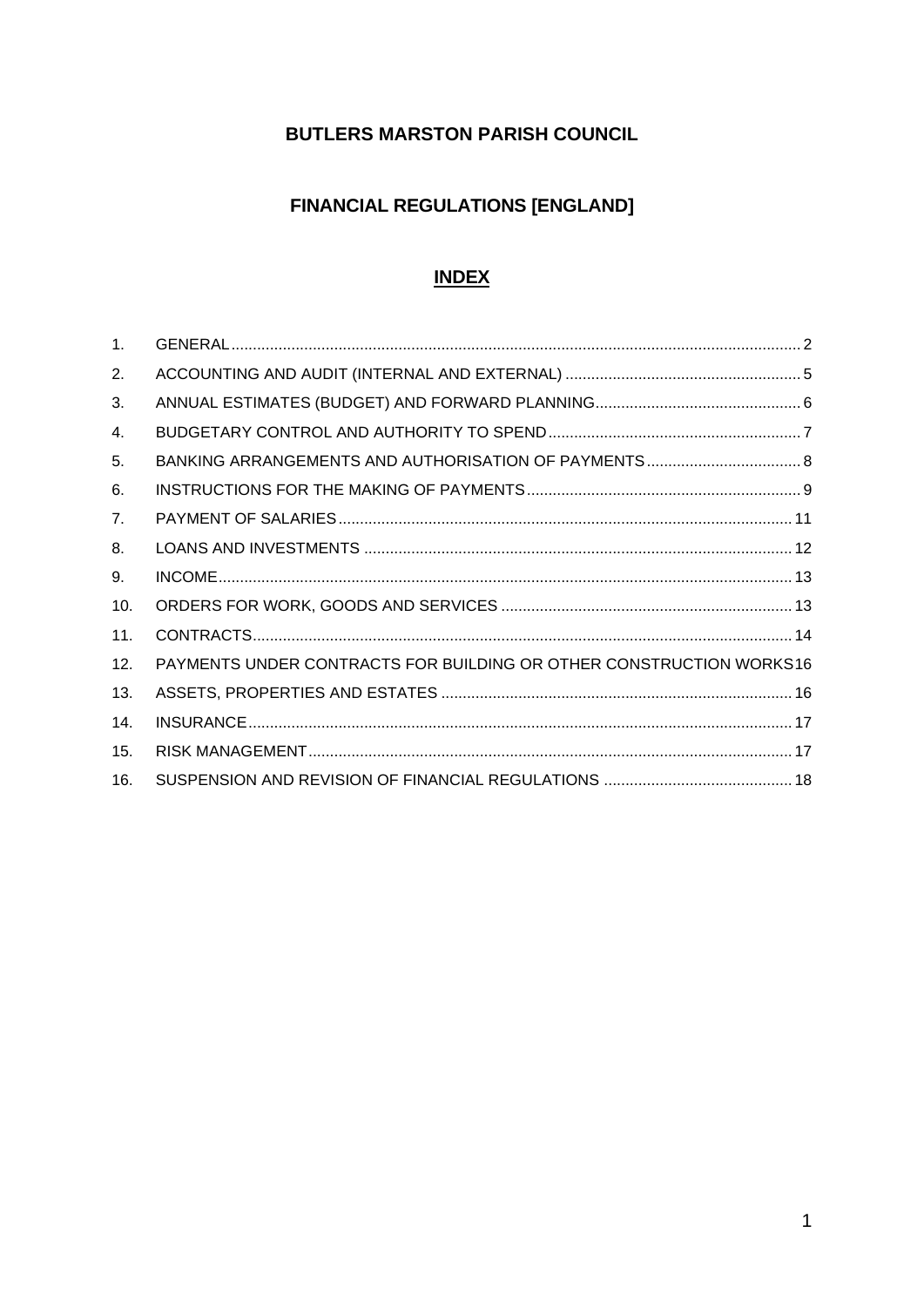## **BUTLERS MARSTON PARISH COUNCIL**

# **FINANCIAL REGULATIONS [ENGLAND]**

#### **INDEX**

| 1.  |                                                                     |  |
|-----|---------------------------------------------------------------------|--|
| 2.  |                                                                     |  |
| 3.  |                                                                     |  |
| 4.  |                                                                     |  |
| 5.  |                                                                     |  |
| 6.  |                                                                     |  |
| 7.  |                                                                     |  |
| 8.  |                                                                     |  |
| 9.  |                                                                     |  |
| 10. |                                                                     |  |
| 11. |                                                                     |  |
| 12. | PAYMENTS UNDER CONTRACTS FOR BUILDING OR OTHER CONSTRUCTION WORKS16 |  |
| 13. |                                                                     |  |
| 14. |                                                                     |  |
| 15. |                                                                     |  |
| 16. |                                                                     |  |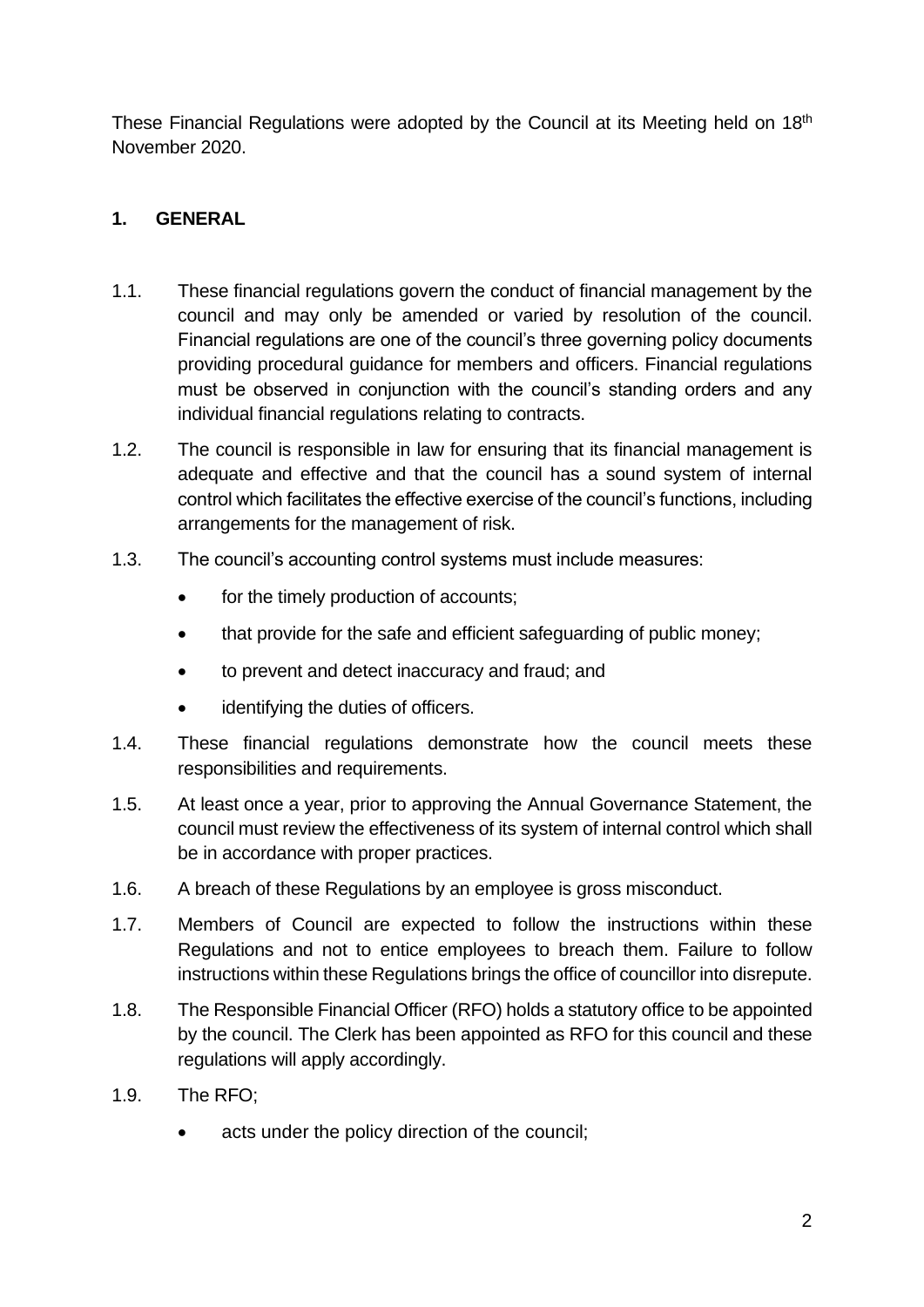These Financial Regulations were adopted by the Council at its Meeting held on 18th November 2020.

## <span id="page-1-0"></span>**1. GENERAL**

- 1.1. These financial regulations govern the conduct of financial management by the council and may only be amended or varied by resolution of the council. Financial regulations are one of the council's three governing policy documents providing procedural guidance for members and officers. Financial regulations must be observed in conjunction with the council's standing orders and any individual financial regulations relating to contracts.
- 1.2. The council is responsible in law for ensuring that its financial management is adequate and effective and that the council has a sound system of internal control which facilitates the effective exercise of the council's functions, including arrangements for the management of risk.
- 1.3. The council's accounting control systems must include measures:
	- for the timely production of accounts;
	- that provide for the safe and efficient safeguarding of public money;
	- to prevent and detect inaccuracy and fraud; and
	- identifying the duties of officers.
- 1.4. These financial regulations demonstrate how the council meets these responsibilities and requirements.
- 1.5. At least once a year, prior to approving the Annual Governance Statement, the council must review the effectiveness of its system of internal control which shall be in accordance with proper practices.
- 1.6. A breach of these Regulations by an employee is gross misconduct.
- 1.7. Members of Council are expected to follow the instructions within these Regulations and not to entice employees to breach them. Failure to follow instructions within these Regulations brings the office of councillor into disrepute.
- 1.8. The Responsible Financial Officer (RFO) holds a statutory office to be appointed by the council. The Clerk has been appointed as RFO for this council and these regulations will apply accordingly.
- 1.9. The RFO;
	- acts under the policy direction of the council: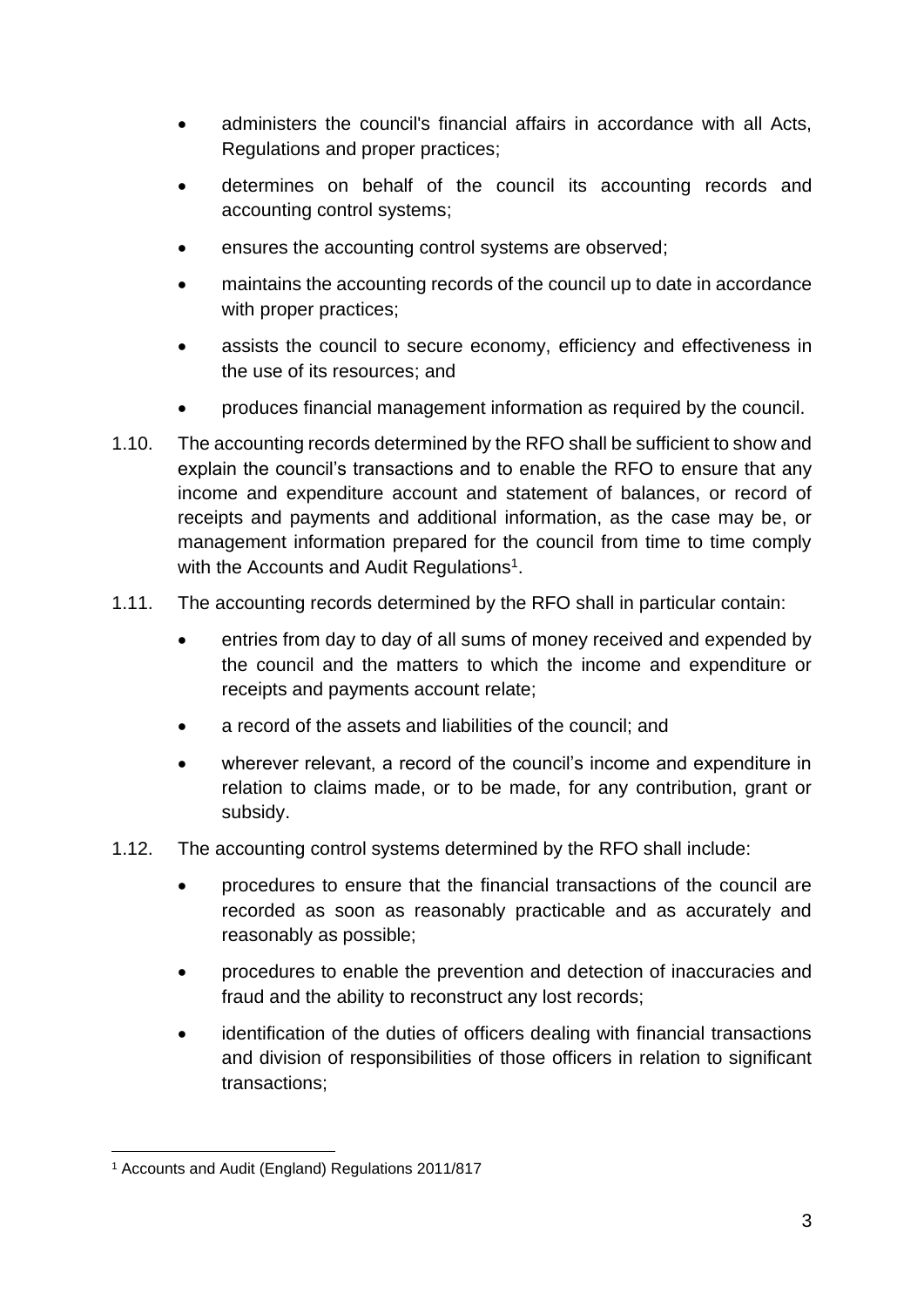- administers the council's financial affairs in accordance with all Acts, Regulations and proper practices;
- determines on behalf of the council its accounting records and accounting control systems;
- ensures the accounting control systems are observed;
- maintains the accounting records of the council up to date in accordance with proper practices;
- assists the council to secure economy, efficiency and effectiveness in the use of its resources; and
- produces financial management information as required by the council.
- 1.10. The accounting records determined by the RFO shall be sufficient to show and explain the council's transactions and to enable the RFO to ensure that any income and expenditure account and statement of balances, or record of receipts and payments and additional information, as the case may be, or management information prepared for the council from time to time comply with the Accounts and Audit Regulations<sup>1</sup>.
- 1.11. The accounting records determined by the RFO shall in particular contain:
	- entries from day to day of all sums of money received and expended by the council and the matters to which the income and expenditure or receipts and payments account relate;
	- a record of the assets and liabilities of the council; and
	- wherever relevant, a record of the council's income and expenditure in relation to claims made, or to be made, for any contribution, grant or subsidy.
- 1.12. The accounting control systems determined by the RFO shall include:
	- procedures to ensure that the financial transactions of the council are recorded as soon as reasonably practicable and as accurately and reasonably as possible;
	- procedures to enable the prevention and detection of inaccuracies and fraud and the ability to reconstruct any lost records;
	- identification of the duties of officers dealing with financial transactions and division of responsibilities of those officers in relation to significant transactions;

<sup>1</sup> Accounts and Audit (England) Regulations 2011/817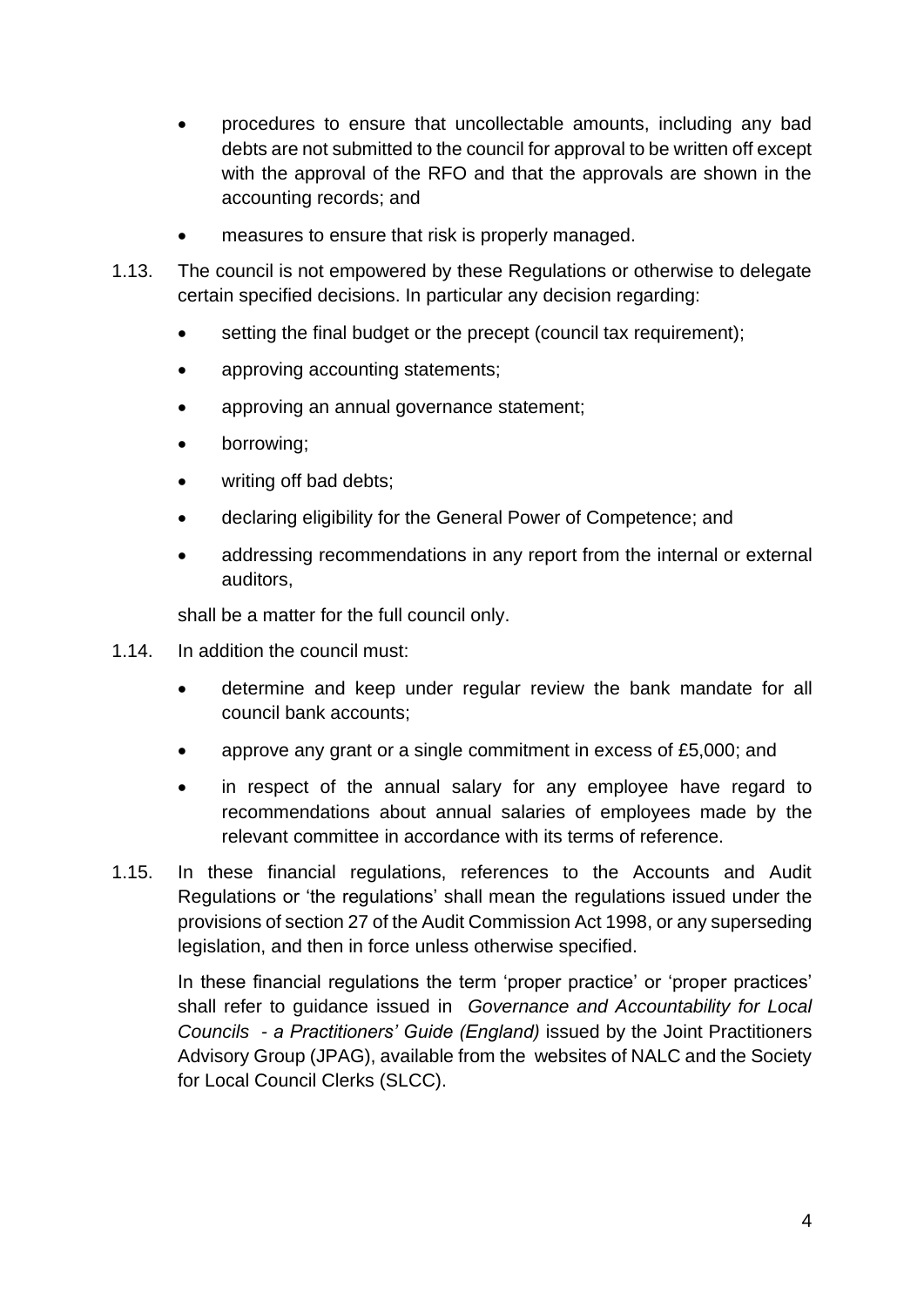- procedures to ensure that uncollectable amounts, including any bad debts are not submitted to the council for approval to be written off except with the approval of the RFO and that the approvals are shown in the accounting records; and
- measures to ensure that risk is properly managed.
- 1.13. The council is not empowered by these Regulations or otherwise to delegate certain specified decisions. In particular any decision regarding:
	- setting the final budget or the precept (council tax requirement):
	- approving accounting statements;
	- approving an annual governance statement;
	- borrowing;
	- writing off bad debts;
	- declaring eligibility for the General Power of Competence; and
	- addressing recommendations in any report from the internal or external auditors,

shall be a matter for the full council only.

- 1.14. In addition the council must:
	- determine and keep under regular review the bank mandate for all council bank accounts;
	- approve any grant or a single commitment in excess of £5,000; and
	- in respect of the annual salary for any employee have regard to recommendations about annual salaries of employees made by the relevant committee in accordance with its terms of reference.
- 1.15. In these financial regulations, references to the Accounts and Audit Regulations or 'the regulations' shall mean the regulations issued under the provisions of section 27 of the Audit Commission Act 1998, or any superseding legislation, and then in force unless otherwise specified.

In these financial regulations the term 'proper practice' or 'proper practices' shall refer to guidance issued in *Governance and Accountability for Local Councils - a Practitioners' Guide (England)* issued by the Joint Practitioners Advisory Group (JPAG), available from the websites of NALC and the Society for Local Council Clerks (SLCC).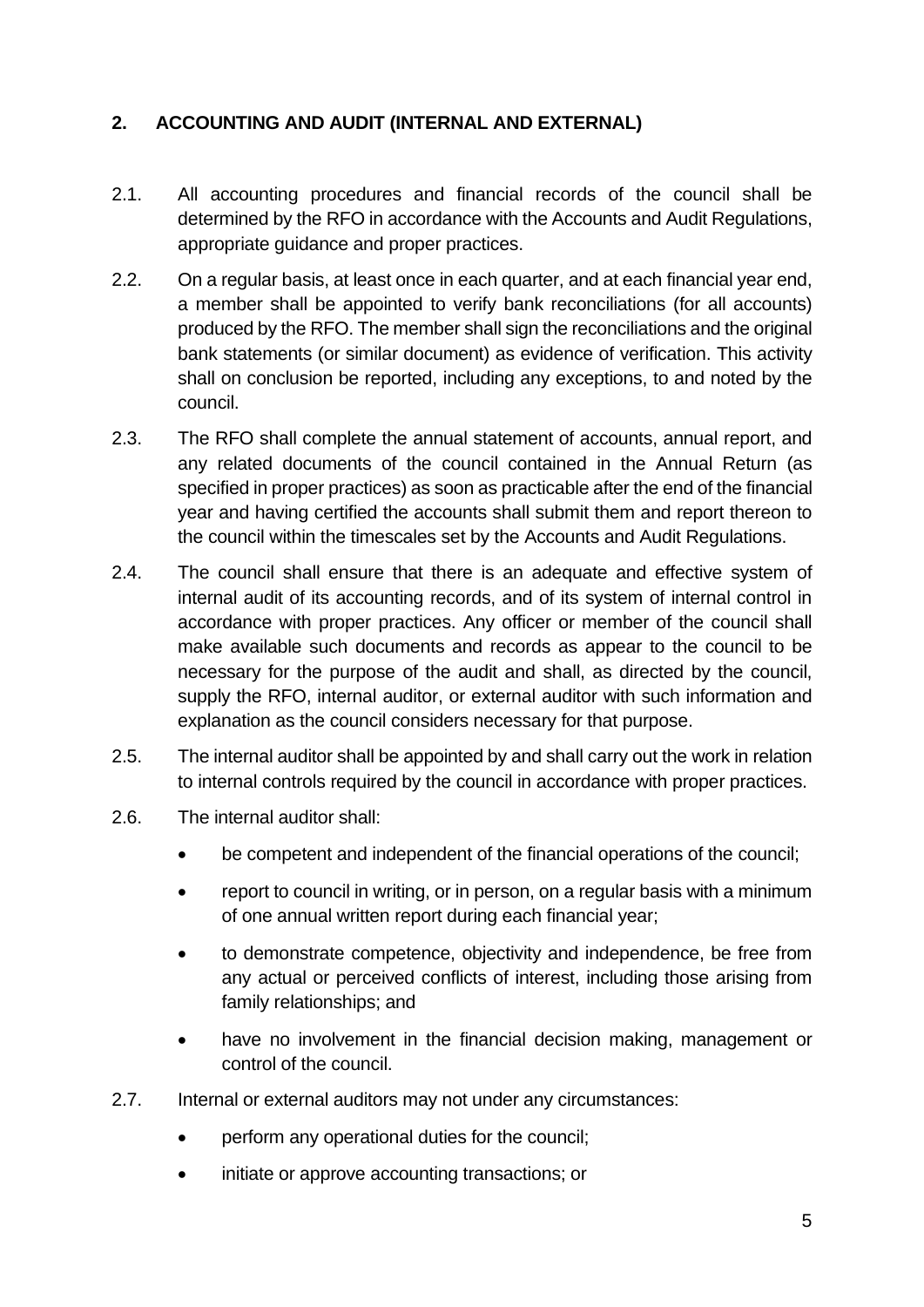## <span id="page-4-0"></span>**2. ACCOUNTING AND AUDIT (INTERNAL AND EXTERNAL)**

- 2.1. All accounting procedures and financial records of the council shall be determined by the RFO in accordance with the Accounts and Audit Regulations, appropriate guidance and proper practices.
- 2.2. On a regular basis, at least once in each quarter, and at each financial year end, a member shall be appointed to verify bank reconciliations (for all accounts) produced by the RFO. The member shall sign the reconciliations and the original bank statements (or similar document) as evidence of verification. This activity shall on conclusion be reported, including any exceptions, to and noted by the council.
- 2.3. The RFO shall complete the annual statement of accounts, annual report, and any related documents of the council contained in the Annual Return (as specified in proper practices) as soon as practicable after the end of the financial year and having certified the accounts shall submit them and report thereon to the council within the timescales set by the Accounts and Audit Regulations.
- 2.4. The council shall ensure that there is an adequate and effective system of internal audit of its accounting records, and of its system of internal control in accordance with proper practices. Any officer or member of the council shall make available such documents and records as appear to the council to be necessary for the purpose of the audit and shall, as directed by the council, supply the RFO, internal auditor, or external auditor with such information and explanation as the council considers necessary for that purpose.
- 2.5. The internal auditor shall be appointed by and shall carry out the work in relation to internal controls required by the council in accordance with proper practices.
- 2.6. The internal auditor shall:
	- be competent and independent of the financial operations of the council;
	- report to council in writing, or in person, on a regular basis with a minimum of one annual written report during each financial year;
	- to demonstrate competence, objectivity and independence, be free from any actual or perceived conflicts of interest, including those arising from family relationships; and
	- have no involvement in the financial decision making, management or control of the council.
- 2.7. Internal or external auditors may not under any circumstances:
	- perform any operational duties for the council:
	- initiate or approve accounting transactions; or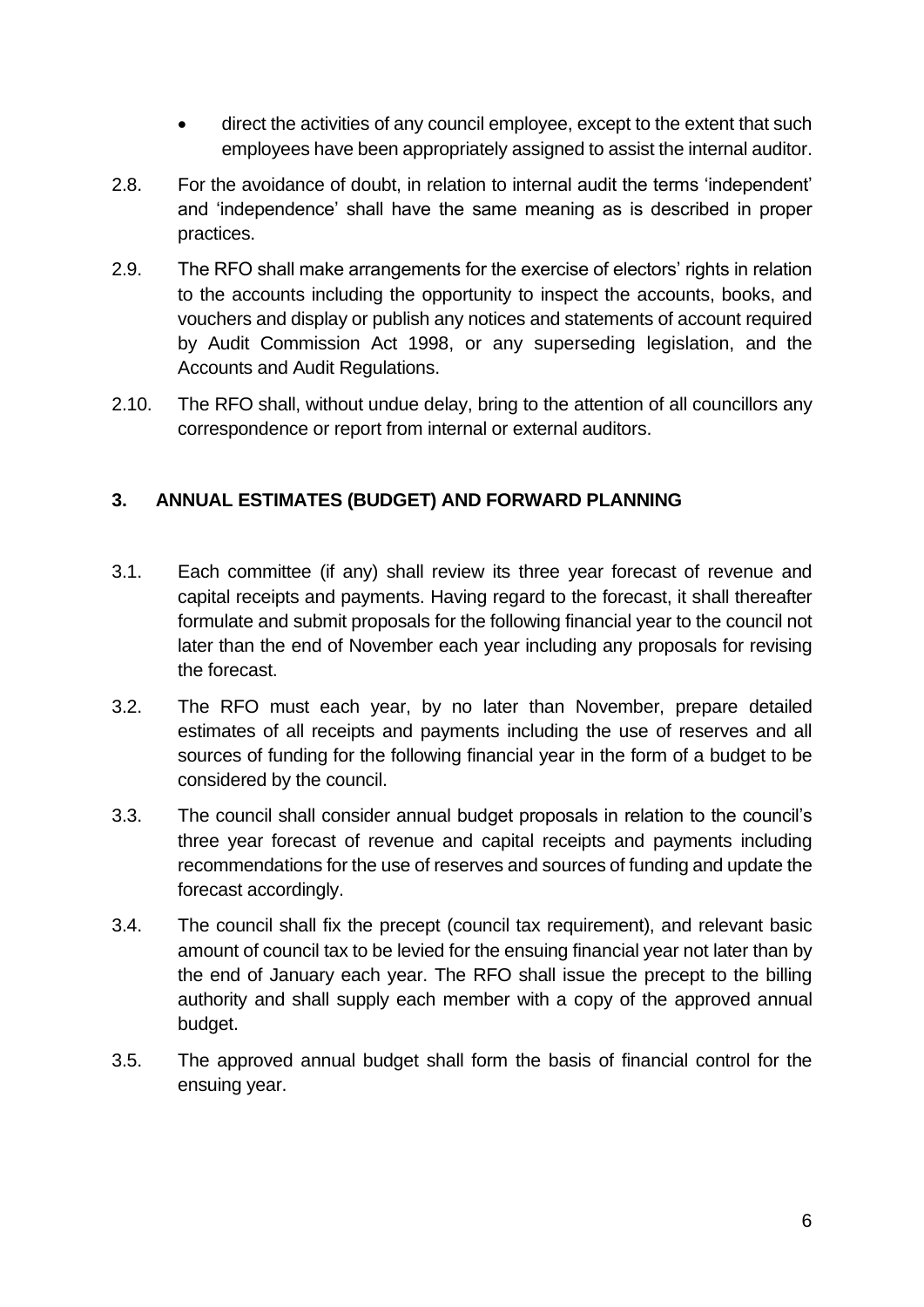- direct the activities of any council employee, except to the extent that such employees have been appropriately assigned to assist the internal auditor.
- 2.8. For the avoidance of doubt, in relation to internal audit the terms 'independent' and 'independence' shall have the same meaning as is described in proper practices.
- 2.9. The RFO shall make arrangements for the exercise of electors' rights in relation to the accounts including the opportunity to inspect the accounts, books, and vouchers and display or publish any notices and statements of account required by Audit Commission Act 1998, or any superseding legislation, and the Accounts and Audit Regulations.
- 2.10. The RFO shall, without undue delay, bring to the attention of all councillors any correspondence or report from internal or external auditors.

## <span id="page-5-0"></span>**3. ANNUAL ESTIMATES (BUDGET) AND FORWARD PLANNING**

- 3.1. Each committee (if any) shall review its three year forecast of revenue and capital receipts and payments. Having regard to the forecast, it shall thereafter formulate and submit proposals for the following financial year to the council not later than the end of November each year including any proposals for revising the forecast.
- 3.2. The RFO must each year, by no later than November, prepare detailed estimates of all receipts and payments including the use of reserves and all sources of funding for the following financial year in the form of a budget to be considered by the council.
- 3.3. The council shall consider annual budget proposals in relation to the council's three year forecast of revenue and capital receipts and payments including recommendations for the use of reserves and sources of funding and update the forecast accordingly.
- 3.4. The council shall fix the precept (council tax requirement), and relevant basic amount of council tax to be levied for the ensuing financial year not later than by the end of January each year. The RFO shall issue the precept to the billing authority and shall supply each member with a copy of the approved annual budget.
- 3.5. The approved annual budget shall form the basis of financial control for the ensuing year.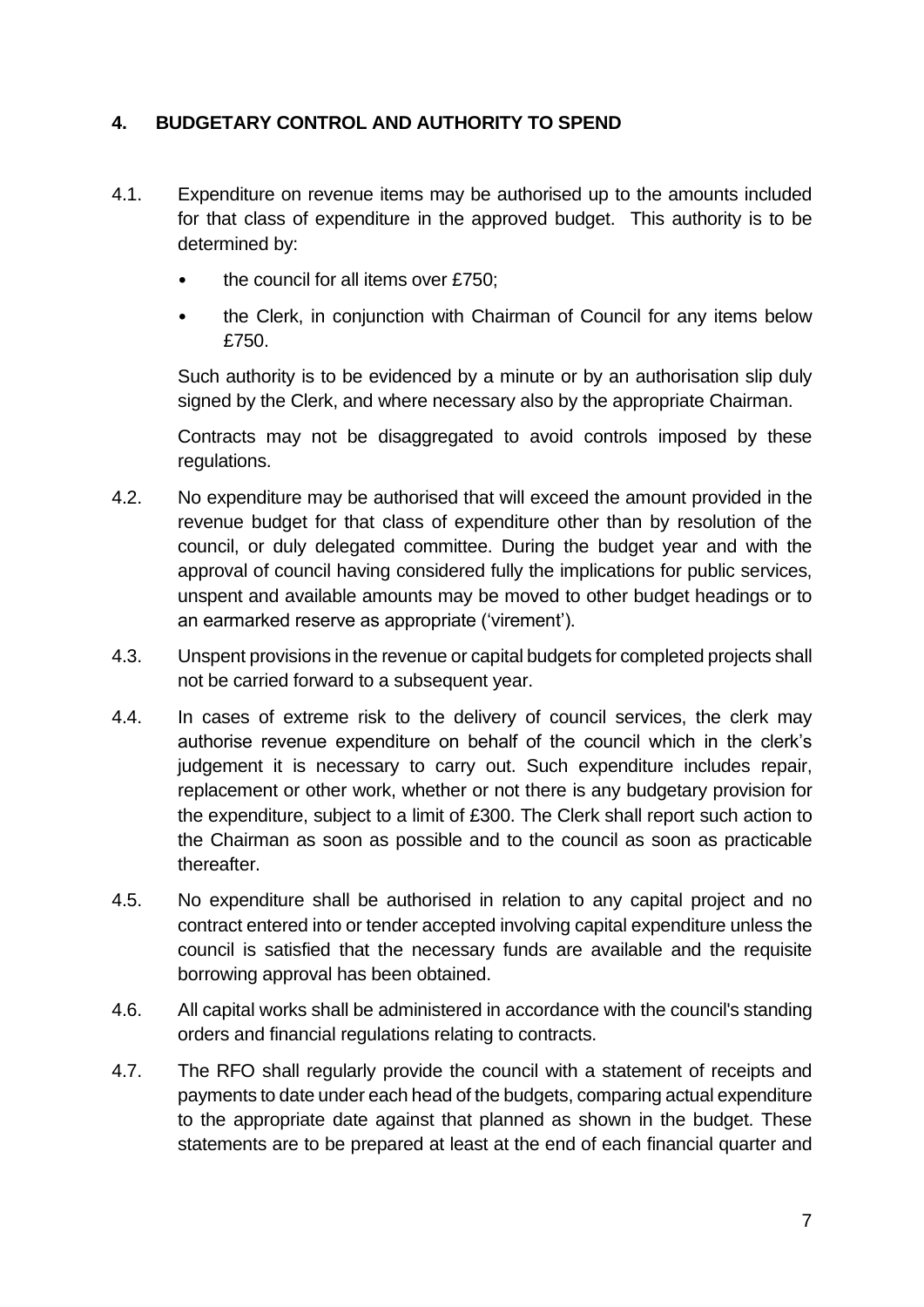### <span id="page-6-0"></span>**4. BUDGETARY CONTROL AND AUTHORITY TO SPEND**

- 4.1. Expenditure on revenue items may be authorised up to the amounts included for that class of expenditure in the approved budget. This authority is to be determined by:
	- the council for all items over £750;
	- the Clerk, in conjunction with Chairman of Council for any items below £750.

Such authority is to be evidenced by a minute or by an authorisation slip duly signed by the Clerk, and where necessary also by the appropriate Chairman.

Contracts may not be disaggregated to avoid controls imposed by these regulations.

- 4.2. No expenditure may be authorised that will exceed the amount provided in the revenue budget for that class of expenditure other than by resolution of the council, or duly delegated committee. During the budget year and with the approval of council having considered fully the implications for public services, unspent and available amounts may be moved to other budget headings or to an earmarked reserve as appropriate ('virement').
- 4.3. Unspent provisions in the revenue or capital budgets for completed projects shall not be carried forward to a subsequent year.
- 4.4. In cases of extreme risk to the delivery of council services, the clerk may authorise revenue expenditure on behalf of the council which in the clerk's judgement it is necessary to carry out. Such expenditure includes repair, replacement or other work, whether or not there is any budgetary provision for the expenditure, subject to a limit of £300. The Clerk shall report such action to the Chairman as soon as possible and to the council as soon as practicable thereafter.
- 4.5. No expenditure shall be authorised in relation to any capital project and no contract entered into or tender accepted involving capital expenditure unless the council is satisfied that the necessary funds are available and the requisite borrowing approval has been obtained.
- 4.6. All capital works shall be administered in accordance with the council's standing orders and financial regulations relating to contracts.
- 4.7. The RFO shall regularly provide the council with a statement of receipts and payments to date under each head of the budgets, comparing actual expenditure to the appropriate date against that planned as shown in the budget. These statements are to be prepared at least at the end of each financial quarter and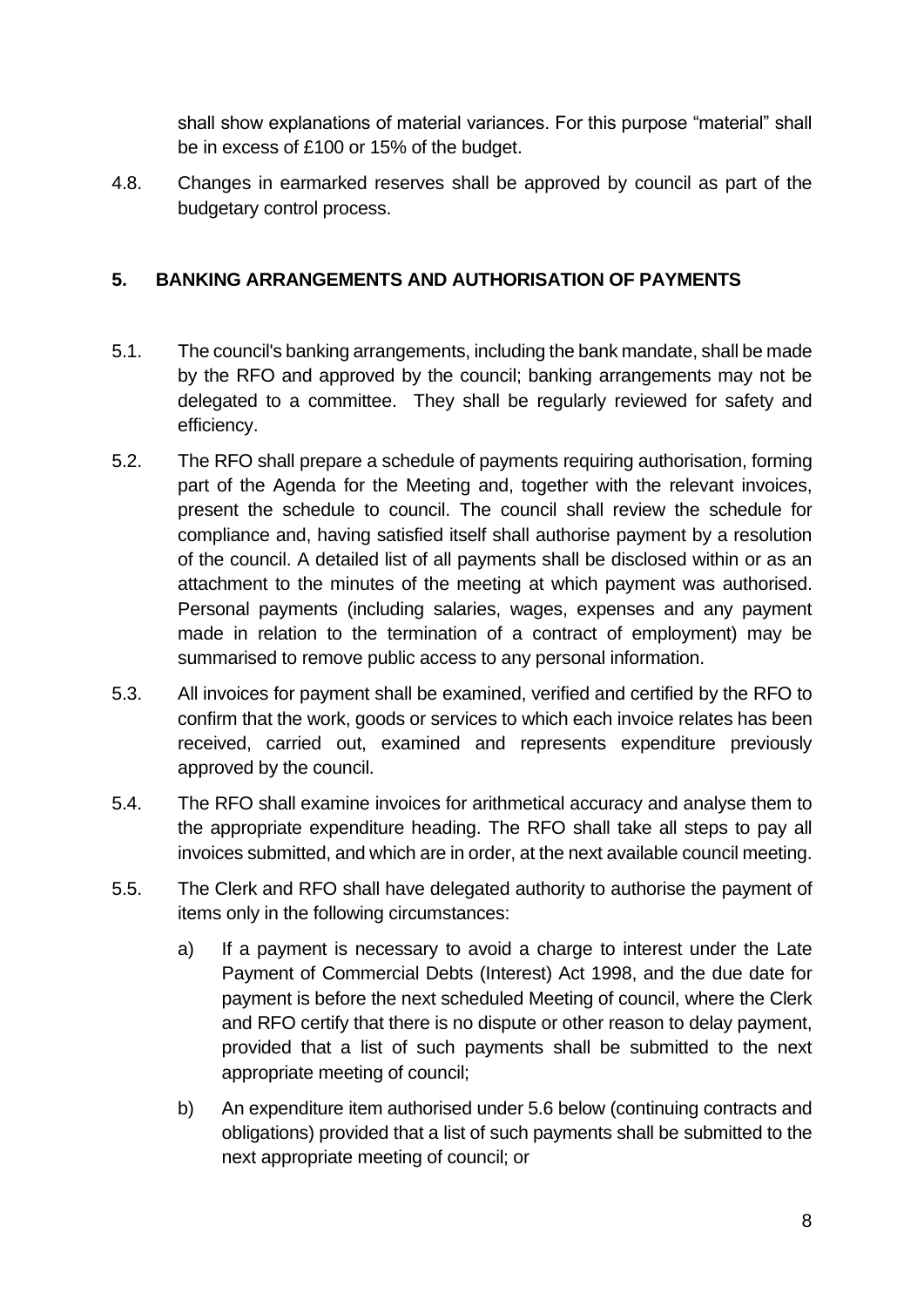shall show explanations of material variances. For this purpose "material" shall be in excess of £100 or 15% of the budget.

4.8. Changes in earmarked reserves shall be approved by council as part of the budgetary control process.

## <span id="page-7-0"></span>**5. BANKING ARRANGEMENTS AND AUTHORISATION OF PAYMENTS**

- 5.1. The council's banking arrangements, including the bank mandate, shall be made by the RFO and approved by the council; banking arrangements may not be delegated to a committee. They shall be regularly reviewed for safety and efficiency.
- 5.2. The RFO shall prepare a schedule of payments requiring authorisation, forming part of the Agenda for the Meeting and, together with the relevant invoices, present the schedule to council. The council shall review the schedule for compliance and, having satisfied itself shall authorise payment by a resolution of the council. A detailed list of all payments shall be disclosed within or as an attachment to the minutes of the meeting at which payment was authorised. Personal payments (including salaries, wages, expenses and any payment made in relation to the termination of a contract of employment) may be summarised to remove public access to any personal information.
- 5.3. All invoices for payment shall be examined, verified and certified by the RFO to confirm that the work, goods or services to which each invoice relates has been received, carried out, examined and represents expenditure previously approved by the council.
- 5.4. The RFO shall examine invoices for arithmetical accuracy and analyse them to the appropriate expenditure heading. The RFO shall take all steps to pay all invoices submitted, and which are in order, at the next available council meeting.
- 5.5. The Clerk and RFO shall have delegated authority to authorise the payment of items only in the following circumstances:
	- a) If a payment is necessary to avoid a charge to interest under the Late Payment of Commercial Debts (Interest) Act 1998, and the due date for payment is before the next scheduled Meeting of council, where the Clerk and RFO certify that there is no dispute or other reason to delay payment, provided that a list of such payments shall be submitted to the next appropriate meeting of council;
	- b) An expenditure item authorised under 5.6 below (continuing contracts and obligations) provided that a list of such payments shall be submitted to the next appropriate meeting of council; or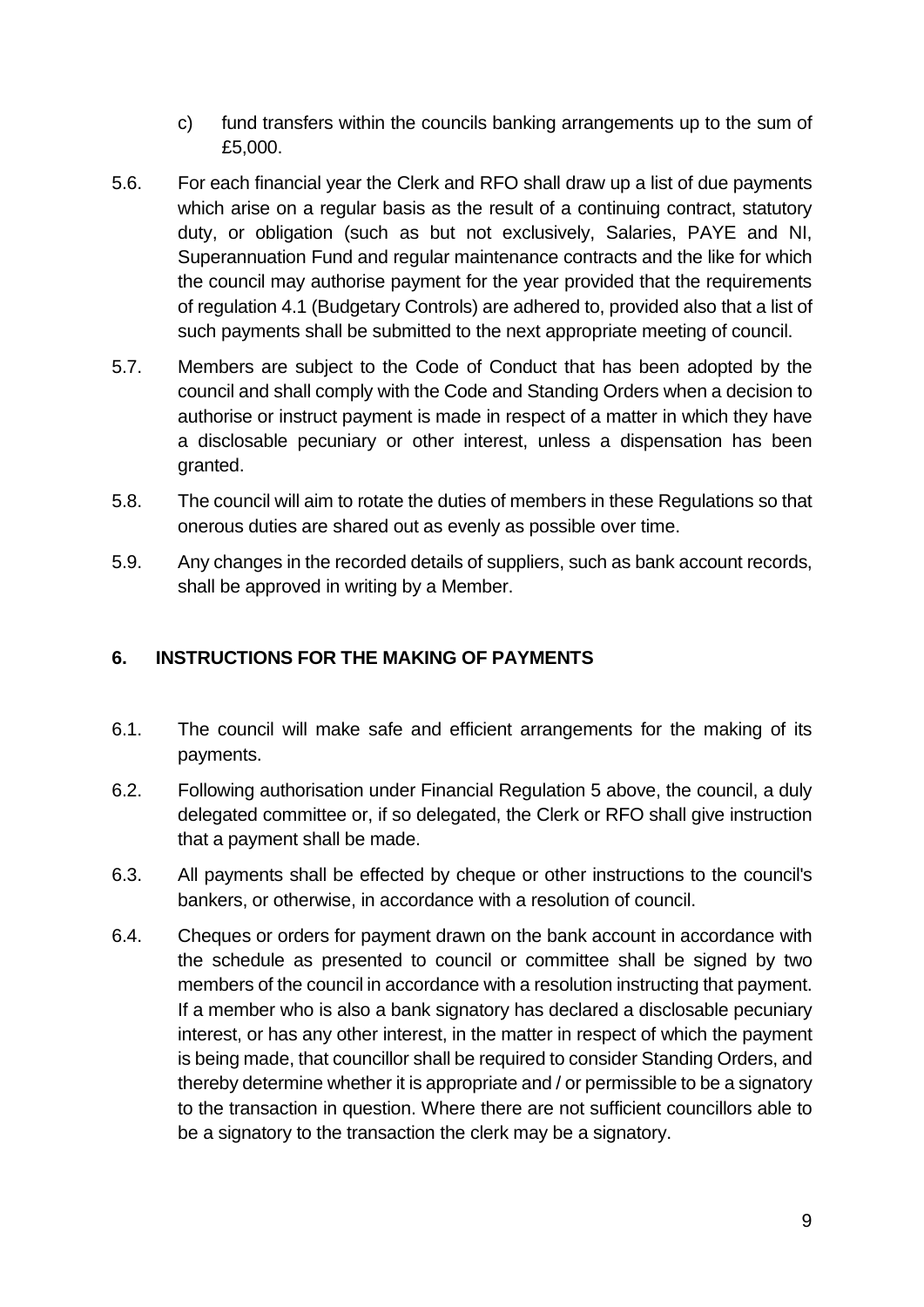- c) fund transfers within the councils banking arrangements up to the sum of £5,000.
- 5.6. For each financial year the Clerk and RFO shall draw up a list of due payments which arise on a regular basis as the result of a continuing contract, statutory duty, or obligation (such as but not exclusively, Salaries, PAYE and NI, Superannuation Fund and regular maintenance contracts and the like for which the council may authorise payment for the year provided that the requirements of regulation 4.1 (Budgetary Controls) are adhered to, provided also that a list of such payments shall be submitted to the next appropriate meeting of council.
- 5.7. Members are subject to the Code of Conduct that has been adopted by the council and shall comply with the Code and Standing Orders when a decision to authorise or instruct payment is made in respect of a matter in which they have a disclosable pecuniary or other interest, unless a dispensation has been granted.
- 5.8. The council will aim to rotate the duties of members in these Regulations so that onerous duties are shared out as evenly as possible over time.
- 5.9. Any changes in the recorded details of suppliers, such as bank account records, shall be approved in writing by a Member.

## <span id="page-8-0"></span>**6. INSTRUCTIONS FOR THE MAKING OF PAYMENTS**

- 6.1. The council will make safe and efficient arrangements for the making of its payments.
- 6.2. Following authorisation under Financial Regulation 5 above, the council, a duly delegated committee or, if so delegated, the Clerk or RFO shall give instruction that a payment shall be made.
- 6.3. All payments shall be effected by cheque or other instructions to the council's bankers, or otherwise, in accordance with a resolution of council.
- 6.4. Cheques or orders for payment drawn on the bank account in accordance with the schedule as presented to council or committee shall be signed by two members of the council in accordance with a resolution instructing that payment. If a member who is also a bank signatory has declared a disclosable pecuniary interest, or has any other interest, in the matter in respect of which the payment is being made, that councillor shall be required to consider Standing Orders, and thereby determine whether it is appropriate and / or permissible to be a signatory to the transaction in question. Where there are not sufficient councillors able to be a signatory to the transaction the clerk may be a signatory.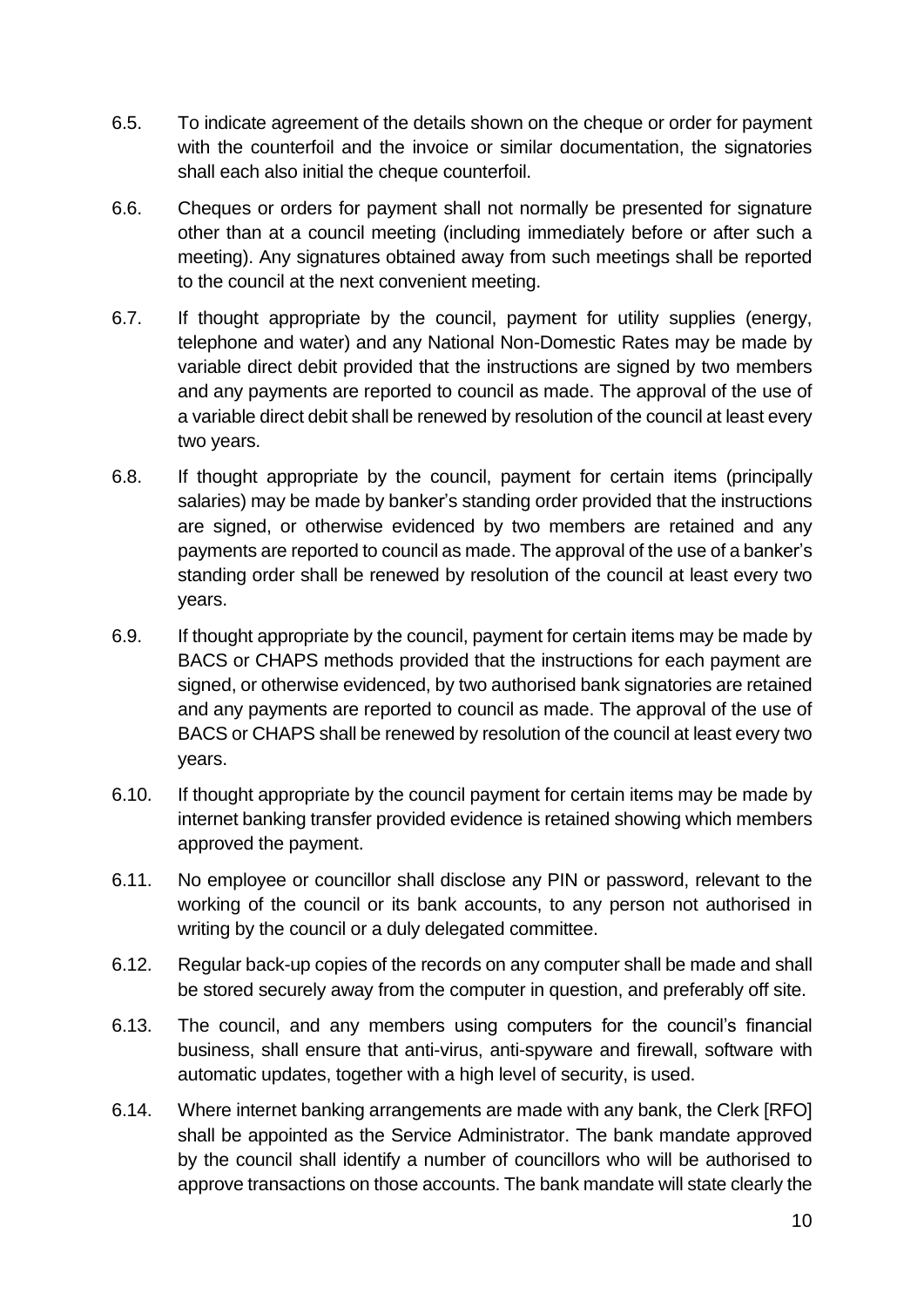- 6.5. To indicate agreement of the details shown on the cheque or order for payment with the counterfoil and the invoice or similar documentation, the signatories shall each also initial the cheque counterfoil.
- 6.6. Cheques or orders for payment shall not normally be presented for signature other than at a council meeting (including immediately before or after such a meeting). Any signatures obtained away from such meetings shall be reported to the council at the next convenient meeting.
- 6.7. If thought appropriate by the council, payment for utility supplies (energy, telephone and water) and any National Non-Domestic Rates may be made by variable direct debit provided that the instructions are signed by two members and any payments are reported to council as made. The approval of the use of a variable direct debit shall be renewed by resolution of the council at least every two years.
- 6.8. If thought appropriate by the council, payment for certain items (principally salaries) may be made by banker's standing order provided that the instructions are signed, or otherwise evidenced by two members are retained and any payments are reported to council as made. The approval of the use of a banker's standing order shall be renewed by resolution of the council at least every two years.
- 6.9. If thought appropriate by the council, payment for certain items may be made by BACS or CHAPS methods provided that the instructions for each payment are signed, or otherwise evidenced, by two authorised bank signatories are retained and any payments are reported to council as made. The approval of the use of BACS or CHAPS shall be renewed by resolution of the council at least every two years.
- 6.10. If thought appropriate by the council payment for certain items may be made by internet banking transfer provided evidence is retained showing which members approved the payment.
- 6.11. No employee or councillor shall disclose any PIN or password, relevant to the working of the council or its bank accounts, to any person not authorised in writing by the council or a duly delegated committee.
- 6.12. Regular back-up copies of the records on any computer shall be made and shall be stored securely away from the computer in question, and preferably off site.
- 6.13. The council, and any members using computers for the council's financial business, shall ensure that anti-virus, anti-spyware and firewall, software with automatic updates, together with a high level of security, is used.
- 6.14. Where internet banking arrangements are made with any bank, the Clerk [RFO] shall be appointed as the Service Administrator. The bank mandate approved by the council shall identify a number of councillors who will be authorised to approve transactions on those accounts. The bank mandate will state clearly the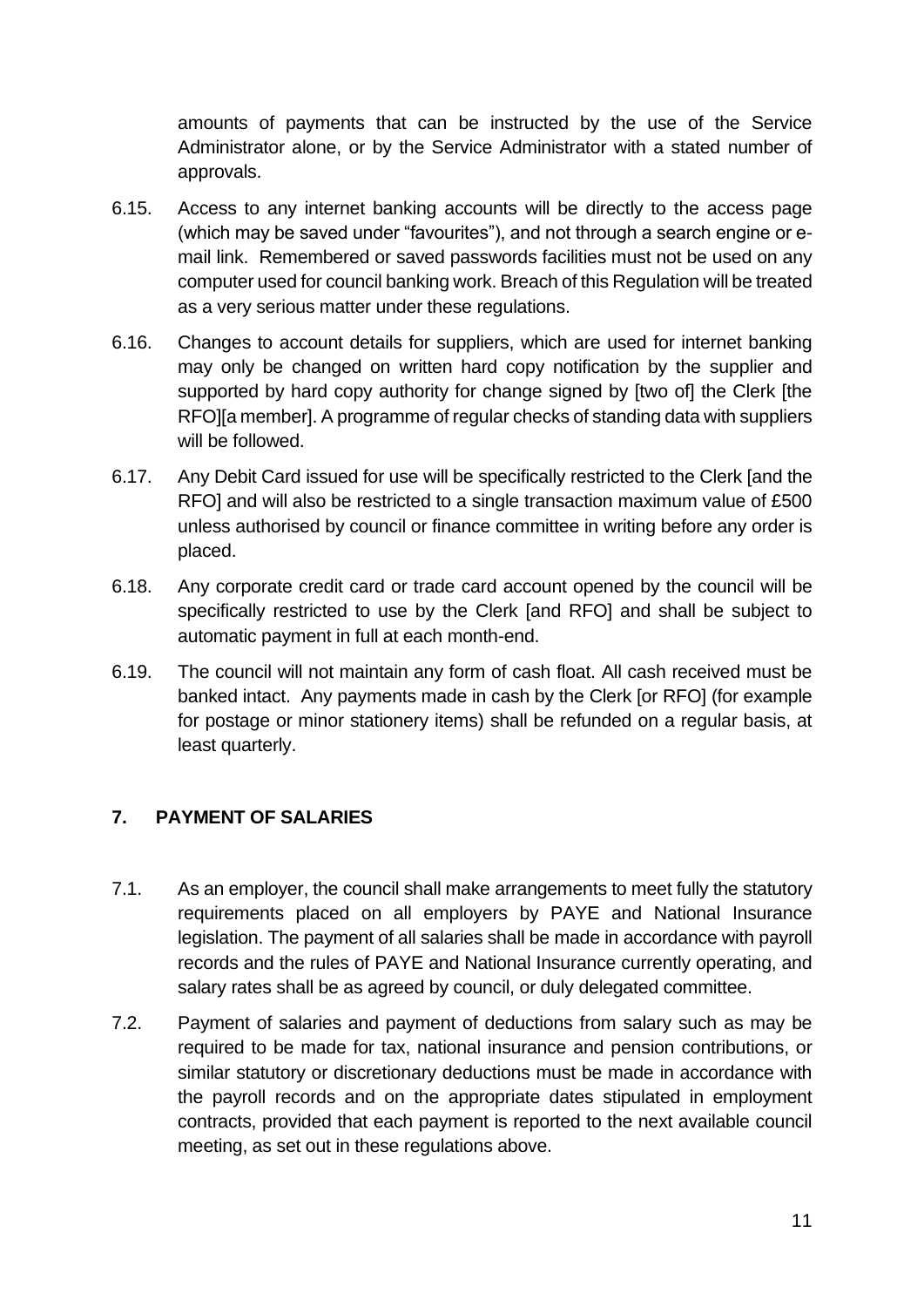amounts of payments that can be instructed by the use of the Service Administrator alone, or by the Service Administrator with a stated number of approvals.

- 6.15. Access to any internet banking accounts will be directly to the access page (which may be saved under "favourites"), and not through a search engine or email link. Remembered or saved passwords facilities must not be used on any computer used for council banking work. Breach of this Regulation will be treated as a very serious matter under these regulations.
- 6.16. Changes to account details for suppliers, which are used for internet banking may only be changed on written hard copy notification by the supplier and supported by hard copy authority for change signed by [two of] the Clerk [the RFO][a member]. A programme of regular checks of standing data with suppliers will be followed.
- 6.17. Any Debit Card issued for use will be specifically restricted to the Clerk [and the RFO] and will also be restricted to a single transaction maximum value of £500 unless authorised by council or finance committee in writing before any order is placed.
- 6.18. Any corporate credit card or trade card account opened by the council will be specifically restricted to use by the Clerk [and RFO] and shall be subject to automatic payment in full at each month-end.
- 6.19. The council will not maintain any form of cash float. All cash received must be banked intact. Any payments made in cash by the Clerk [or RFO] (for example for postage or minor stationery items) shall be refunded on a regular basis, at least quarterly.

## <span id="page-10-0"></span>**7. PAYMENT OF SALARIES**

- 7.1. As an employer, the council shall make arrangements to meet fully the statutory requirements placed on all employers by PAYE and National Insurance legislation. The payment of all salaries shall be made in accordance with payroll records and the rules of PAYE and National Insurance currently operating, and salary rates shall be as agreed by council, or duly delegated committee.
- 7.2. Payment of salaries and payment of deductions from salary such as may be required to be made for tax, national insurance and pension contributions, or similar statutory or discretionary deductions must be made in accordance with the payroll records and on the appropriate dates stipulated in employment contracts, provided that each payment is reported to the next available council meeting, as set out in these regulations above.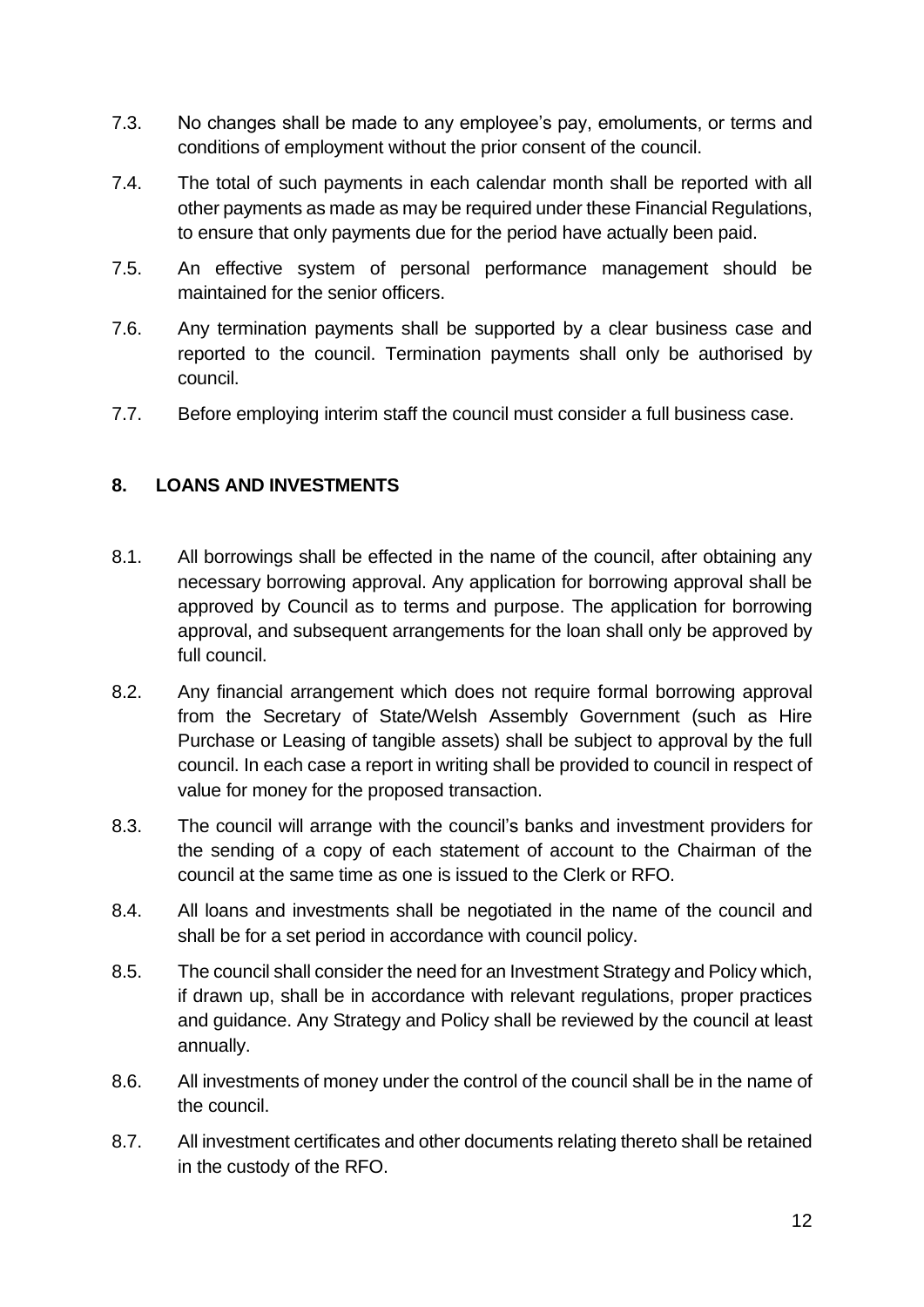- 7.3. No changes shall be made to any employee's pay, emoluments, or terms and conditions of employment without the prior consent of the council.
- 7.4. The total of such payments in each calendar month shall be reported with all other payments as made as may be required under these Financial Regulations, to ensure that only payments due for the period have actually been paid.
- 7.5. An effective system of personal performance management should be maintained for the senior officers.
- 7.6. Any termination payments shall be supported by a clear business case and reported to the council. Termination payments shall only be authorised by council.
- 7.7. Before employing interim staff the council must consider a full business case.

#### <span id="page-11-0"></span>**8. LOANS AND INVESTMENTS**

- 8.1. All borrowings shall be effected in the name of the council, after obtaining any necessary borrowing approval. Any application for borrowing approval shall be approved by Council as to terms and purpose. The application for borrowing approval, and subsequent arrangements for the loan shall only be approved by full council.
- 8.2. Any financial arrangement which does not require formal borrowing approval from the Secretary of State/Welsh Assembly Government (such as Hire Purchase or Leasing of tangible assets) shall be subject to approval by the full council. In each case a report in writing shall be provided to council in respect of value for money for the proposed transaction.
- 8.3. The council will arrange with the council's banks and investment providers for the sending of a copy of each statement of account to the Chairman of the council at the same time as one is issued to the Clerk or RFO.
- 8.4. All loans and investments shall be negotiated in the name of the council and shall be for a set period in accordance with council policy.
- 8.5. The council shall consider the need for an Investment Strategy and Policy which, if drawn up, shall be in accordance with relevant regulations, proper practices and guidance. Any Strategy and Policy shall be reviewed by the council at least annually.
- 8.6. All investments of money under the control of the council shall be in the name of the council.
- 8.7. All investment certificates and other documents relating thereto shall be retained in the custody of the RFO.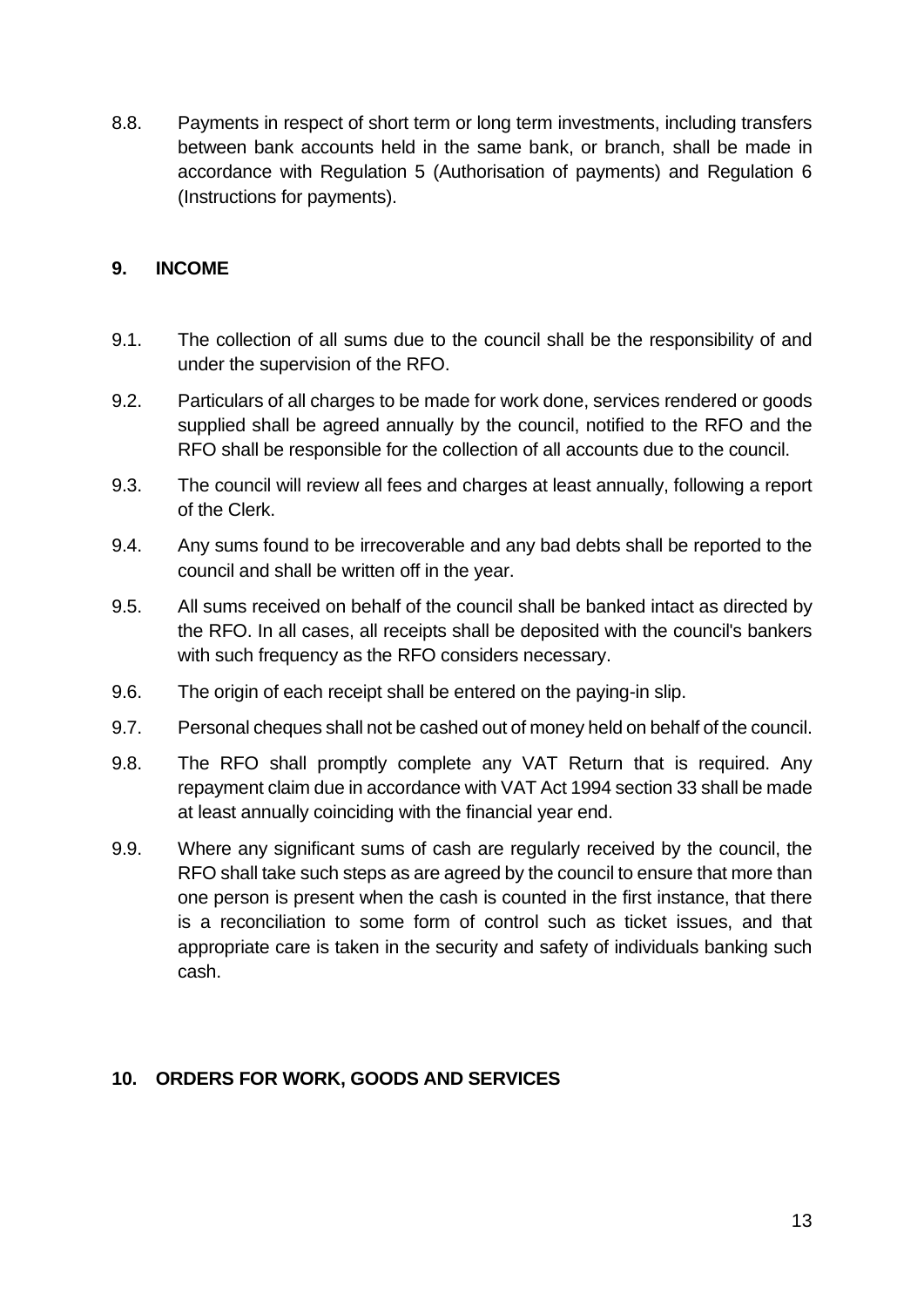8.8. Payments in respect of short term or long term investments, including transfers between bank accounts held in the same bank, or branch, shall be made in accordance with Regulation 5 (Authorisation of payments) and Regulation 6 (Instructions for payments).

#### <span id="page-12-0"></span>**9. INCOME**

- 9.1. The collection of all sums due to the council shall be the responsibility of and under the supervision of the RFO.
- 9.2. Particulars of all charges to be made for work done, services rendered or goods supplied shall be agreed annually by the council, notified to the RFO and the RFO shall be responsible for the collection of all accounts due to the council.
- 9.3. The council will review all fees and charges at least annually, following a report of the Clerk.
- 9.4. Any sums found to be irrecoverable and any bad debts shall be reported to the council and shall be written off in the year.
- 9.5. All sums received on behalf of the council shall be banked intact as directed by the RFO. In all cases, all receipts shall be deposited with the council's bankers with such frequency as the RFO considers necessary.
- 9.6. The origin of each receipt shall be entered on the paying-in slip.
- 9.7. Personal cheques shall not be cashed out of money held on behalf of the council.
- 9.8. The RFO shall promptly complete any VAT Return that is required. Any repayment claim due in accordance with VAT Act 1994 section 33 shall be made at least annually coinciding with the financial year end.
- 9.9. Where any significant sums of cash are regularly received by the council, the RFO shall take such steps as are agreed by the council to ensure that more than one person is present when the cash is counted in the first instance, that there is a reconciliation to some form of control such as ticket issues, and that appropriate care is taken in the security and safety of individuals banking such cash.

#### <span id="page-12-1"></span>**10. ORDERS FOR WORK, GOODS AND SERVICES**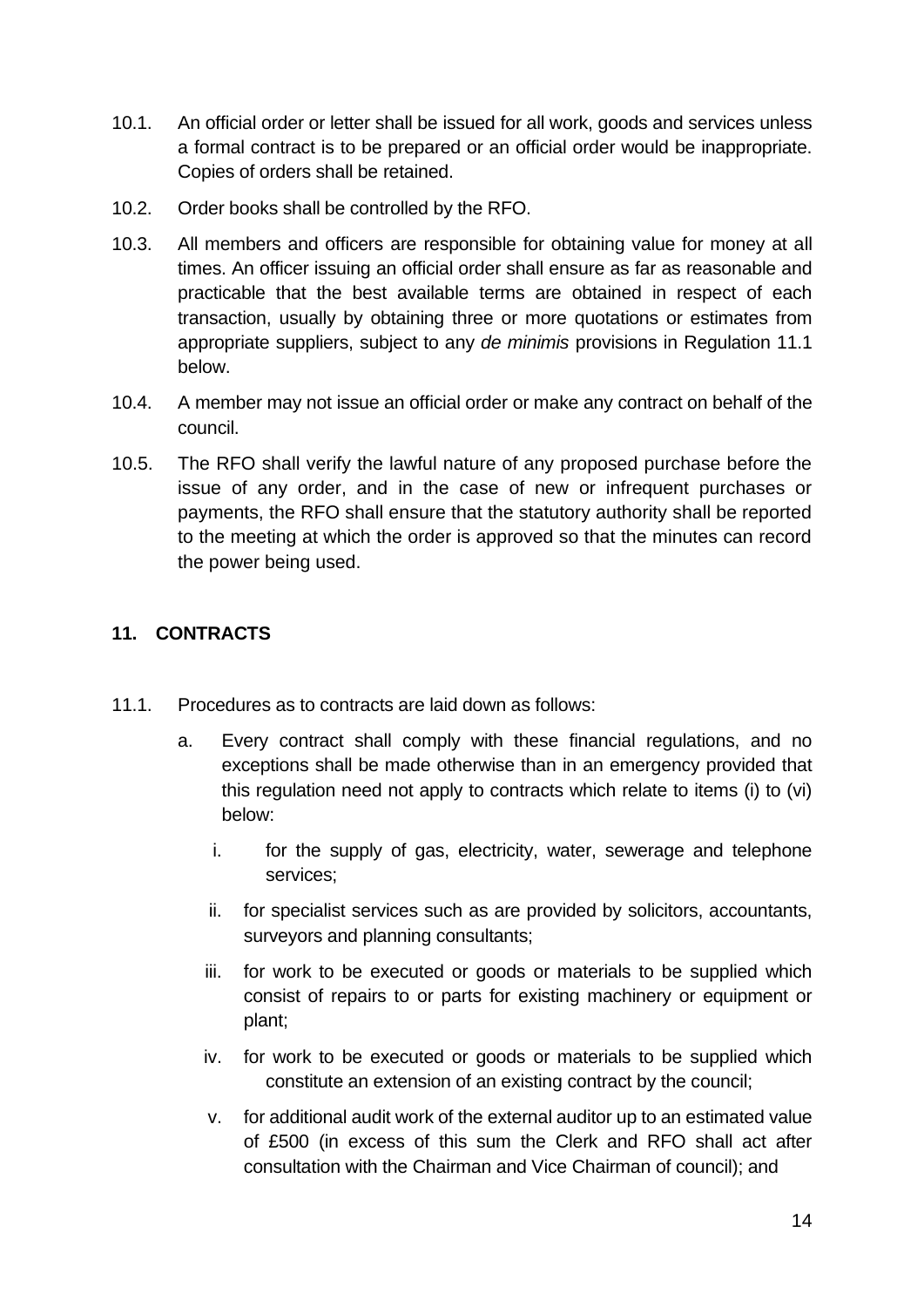- 10.1. An official order or letter shall be issued for all work, goods and services unless a formal contract is to be prepared or an official order would be inappropriate. Copies of orders shall be retained.
- 10.2. Order books shall be controlled by the RFO.
- 10.3. All members and officers are responsible for obtaining value for money at all times. An officer issuing an official order shall ensure as far as reasonable and practicable that the best available terms are obtained in respect of each transaction, usually by obtaining three or more quotations or estimates from appropriate suppliers, subject to any *de minimis* provisions in Regulation 11.1 below.
- 10.4. A member may not issue an official order or make any contract on behalf of the council.
- 10.5. The RFO shall verify the lawful nature of any proposed purchase before the issue of any order, and in the case of new or infrequent purchases or payments, the RFO shall ensure that the statutory authority shall be reported to the meeting at which the order is approved so that the minutes can record the power being used.

## <span id="page-13-0"></span>**11. CONTRACTS**

- 11.1. Procedures as to contracts are laid down as follows:
	- a. Every contract shall comply with these financial regulations, and no exceptions shall be made otherwise than in an emergency provided that this regulation need not apply to contracts which relate to items (i) to (vi) below:
		- i. for the supply of gas, electricity, water, sewerage and telephone services;
		- ii. for specialist services such as are provided by solicitors, accountants, surveyors and planning consultants;
		- iii. for work to be executed or goods or materials to be supplied which consist of repairs to or parts for existing machinery or equipment or plant;
		- iv. for work to be executed or goods or materials to be supplied which constitute an extension of an existing contract by the council;
		- v. for additional audit work of the external auditor up to an estimated value of £500 (in excess of this sum the Clerk and RFO shall act after consultation with the Chairman and Vice Chairman of council); and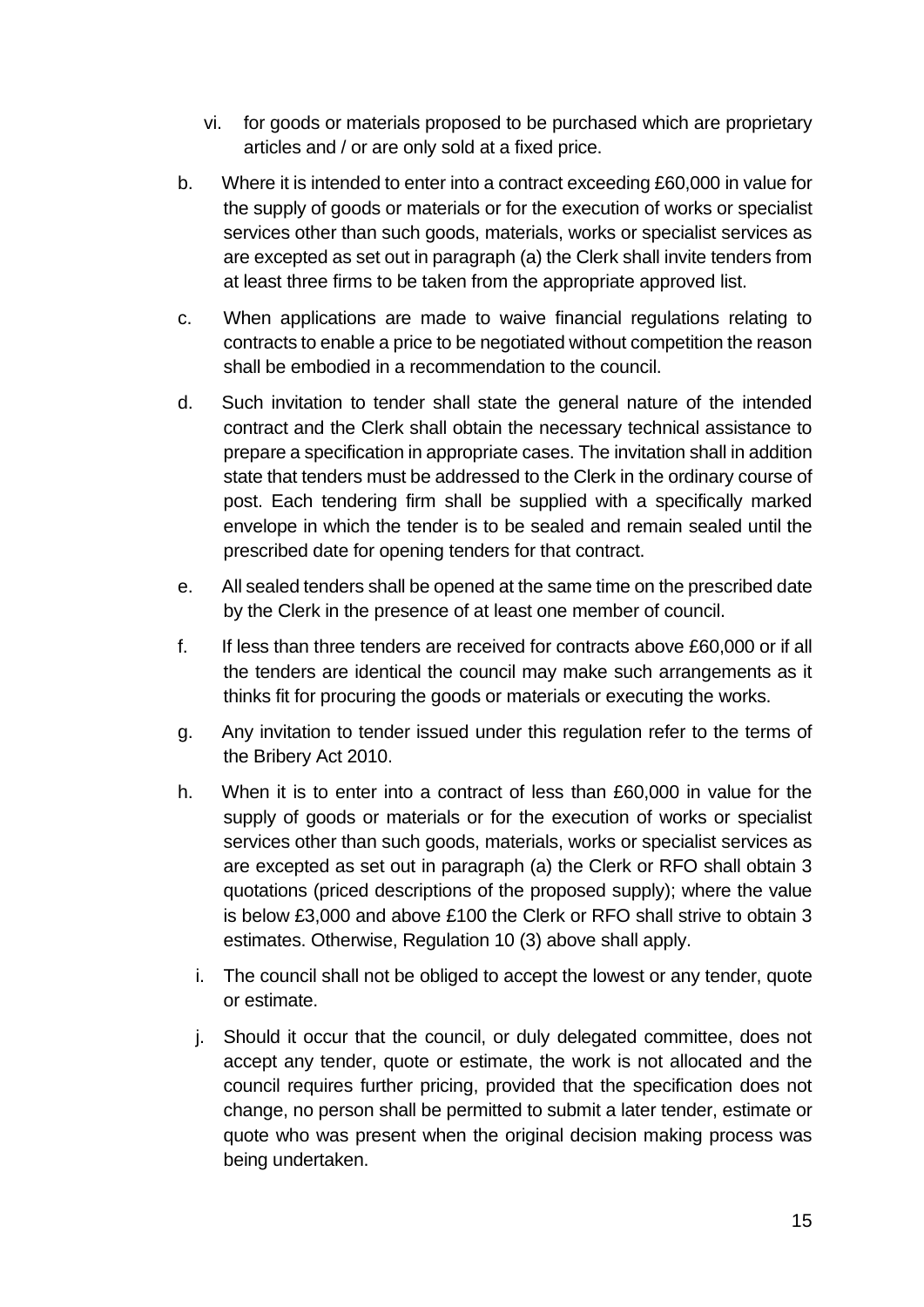- vi. for goods or materials proposed to be purchased which are proprietary articles and / or are only sold at a fixed price.
- b. Where it is intended to enter into a contract exceeding £60,000 in value for the supply of goods or materials or for the execution of works or specialist services other than such goods, materials, works or specialist services as are excepted as set out in paragraph (a) the Clerk shall invite tenders from at least three firms to be taken from the appropriate approved list.
- c. When applications are made to waive financial regulations relating to contracts to enable a price to be negotiated without competition the reason shall be embodied in a recommendation to the council.
- d. Such invitation to tender shall state the general nature of the intended contract and the Clerk shall obtain the necessary technical assistance to prepare a specification in appropriate cases. The invitation shall in addition state that tenders must be addressed to the Clerk in the ordinary course of post. Each tendering firm shall be supplied with a specifically marked envelope in which the tender is to be sealed and remain sealed until the prescribed date for opening tenders for that contract.
- e. All sealed tenders shall be opened at the same time on the prescribed date by the Clerk in the presence of at least one member of council.
- f. If less than three tenders are received for contracts above £60,000 or if all the tenders are identical the council may make such arrangements as it thinks fit for procuring the goods or materials or executing the works.
- g. Any invitation to tender issued under this regulation refer to the terms of the Bribery Act 2010.
- h. When it is to enter into a contract of less than £60,000 in value for the supply of goods or materials or for the execution of works or specialist services other than such goods, materials, works or specialist services as are excepted as set out in paragraph (a) the Clerk or RFO shall obtain 3 quotations (priced descriptions of the proposed supply); where the value is below £3,000 and above £100 the Clerk or RFO shall strive to obtain 3 estimates. Otherwise, Regulation 10 (3) above shall apply.
	- i. The council shall not be obliged to accept the lowest or any tender, quote or estimate.
	- j. Should it occur that the council, or duly delegated committee, does not accept any tender, quote or estimate, the work is not allocated and the council requires further pricing, provided that the specification does not change, no person shall be permitted to submit a later tender, estimate or quote who was present when the original decision making process was being undertaken.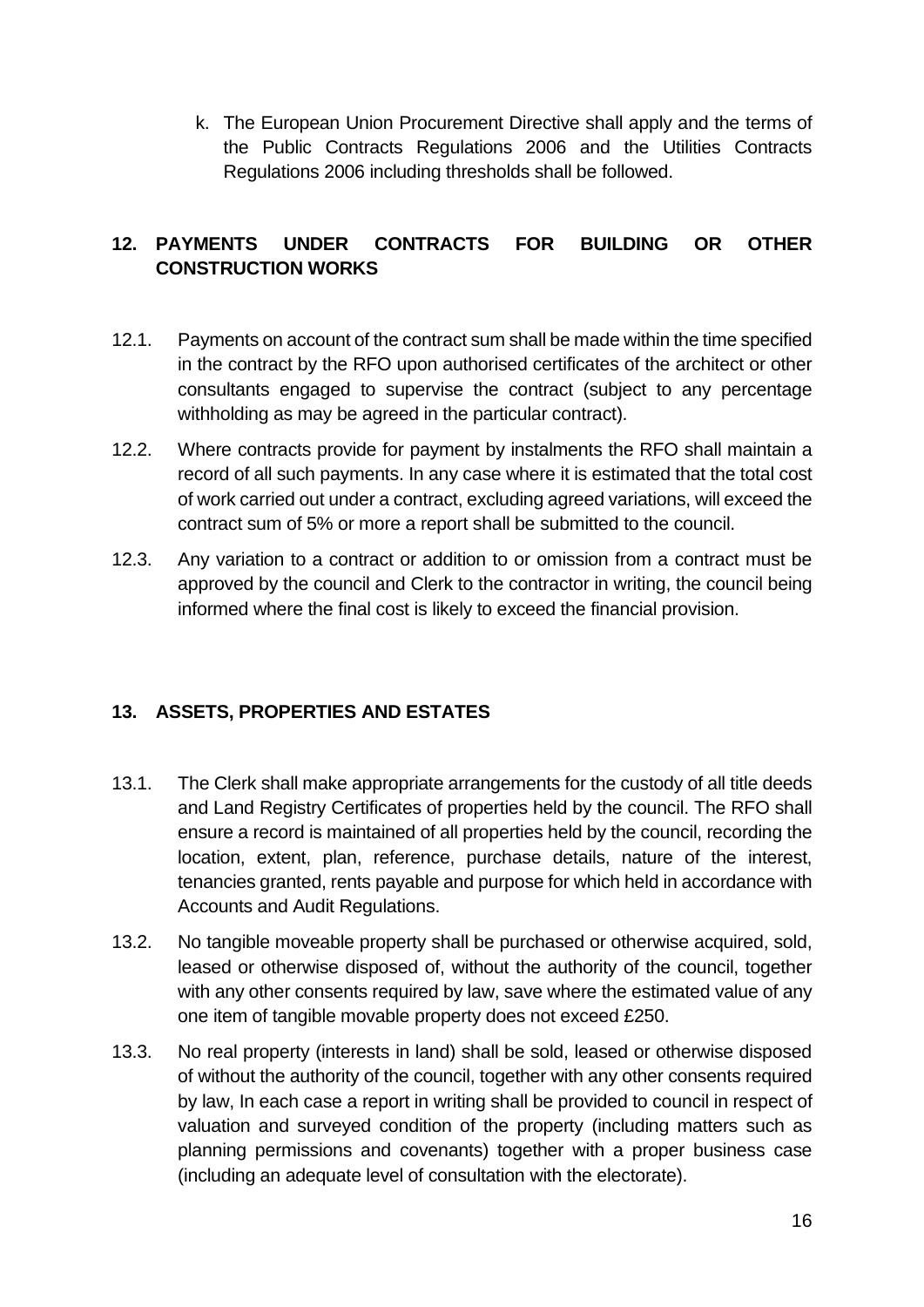k. The European Union Procurement Directive shall apply and the terms of the Public Contracts Regulations 2006 and the Utilities Contracts Regulations 2006 including thresholds shall be followed.

## <span id="page-15-0"></span>**12. PAYMENTS UNDER CONTRACTS FOR BUILDING OR OTHER CONSTRUCTION WORKS**

- 12.1. Payments on account of the contract sum shall be made within the time specified in the contract by the RFO upon authorised certificates of the architect or other consultants engaged to supervise the contract (subject to any percentage withholding as may be agreed in the particular contract).
- 12.2. Where contracts provide for payment by instalments the RFO shall maintain a record of all such payments. In any case where it is estimated that the total cost of work carried out under a contract, excluding agreed variations, will exceed the contract sum of 5% or more a report shall be submitted to the council.
- 12.3. Any variation to a contract or addition to or omission from a contract must be approved by the council and Clerk to the contractor in writing, the council being informed where the final cost is likely to exceed the financial provision.

## <span id="page-15-1"></span>**13. ASSETS, PROPERTIES AND ESTATES**

- 13.1. The Clerk shall make appropriate arrangements for the custody of all title deeds and Land Registry Certificates of properties held by the council. The RFO shall ensure a record is maintained of all properties held by the council, recording the location, extent, plan, reference, purchase details, nature of the interest, tenancies granted, rents payable and purpose for which held in accordance with Accounts and Audit Regulations.
- 13.2. No tangible moveable property shall be purchased or otherwise acquired, sold, leased or otherwise disposed of, without the authority of the council, together with any other consents required by law, save where the estimated value of any one item of tangible movable property does not exceed £250.
- 13.3. No real property (interests in land) shall be sold, leased or otherwise disposed of without the authority of the council, together with any other consents required by law, In each case a report in writing shall be provided to council in respect of valuation and surveyed condition of the property (including matters such as planning permissions and covenants) together with a proper business case (including an adequate level of consultation with the electorate).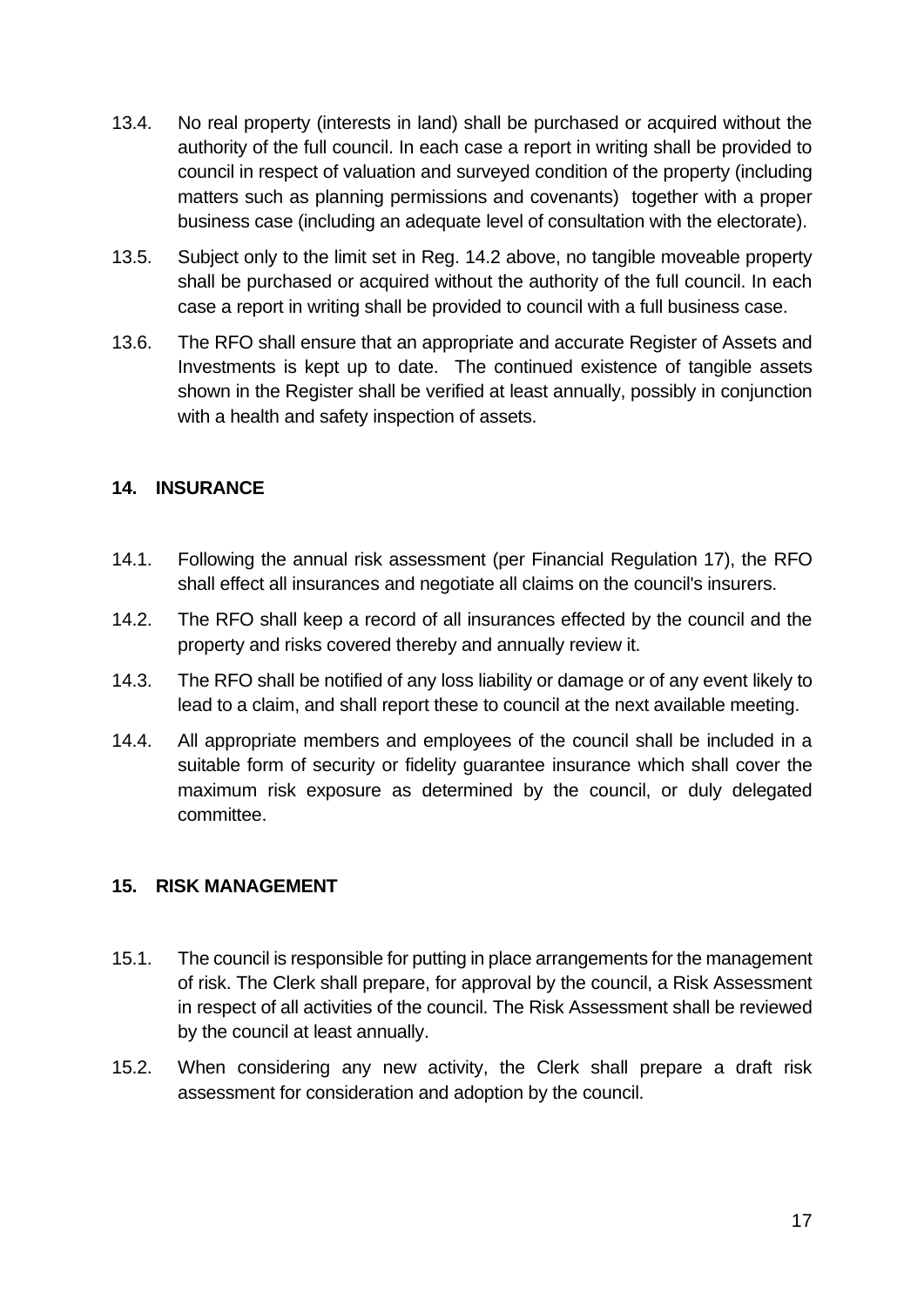- 13.4. No real property (interests in land) shall be purchased or acquired without the authority of the full council. In each case a report in writing shall be provided to council in respect of valuation and surveyed condition of the property (including matters such as planning permissions and covenants) together with a proper business case (including an adequate level of consultation with the electorate).
- 13.5. Subject only to the limit set in Reg. 14.2 above, no tangible moveable property shall be purchased or acquired without the authority of the full council. In each case a report in writing shall be provided to council with a full business case.
- 13.6. The RFO shall ensure that an appropriate and accurate Register of Assets and Investments is kept up to date. The continued existence of tangible assets shown in the Register shall be verified at least annually, possibly in conjunction with a health and safety inspection of assets.

#### <span id="page-16-0"></span>**14. INSURANCE**

- 14.1. Following the annual risk assessment (per Financial Regulation 17), the RFO shall effect all insurances and negotiate all claims on the council's insurers.
- 14.2. The RFO shall keep a record of all insurances effected by the council and the property and risks covered thereby and annually review it.
- 14.3. The RFO shall be notified of any loss liability or damage or of any event likely to lead to a claim, and shall report these to council at the next available meeting.
- 14.4. All appropriate members and employees of the council shall be included in a suitable form of security or fidelity guarantee insurance which shall cover the maximum risk exposure as determined by the council, or duly delegated committee.

#### <span id="page-16-1"></span>**15. RISK MANAGEMENT**

- 15.1. The council is responsible for putting in place arrangements for the management of risk. The Clerk shall prepare, for approval by the council, a Risk Assessment in respect of all activities of the council. The Risk Assessment shall be reviewed by the council at least annually.
- 15.2. When considering any new activity, the Clerk shall prepare a draft risk assessment for consideration and adoption by the council.